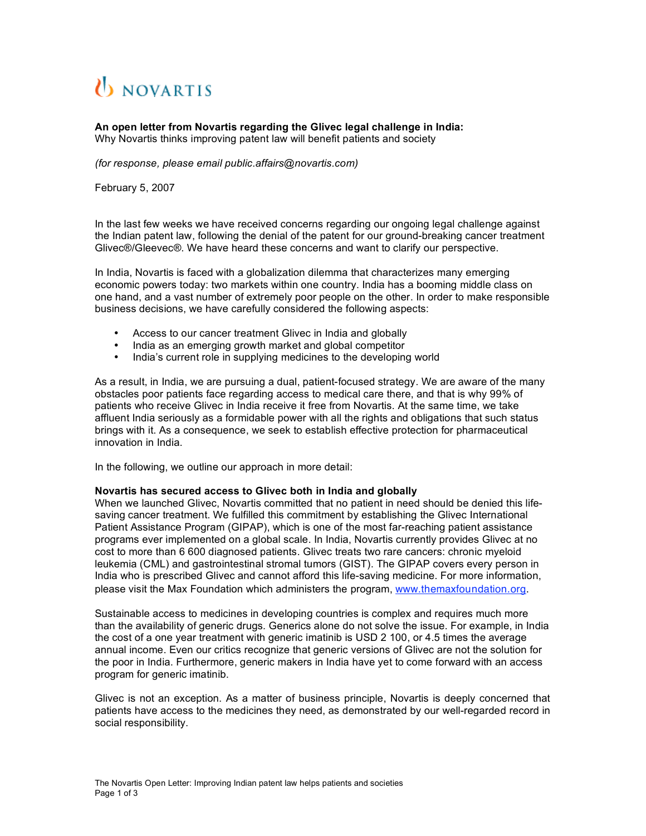## *U NOVARTIS*

**An open letter from Novartis regarding the Glivec legal challenge in India:** Why Novartis thinks improving patent law will benefit patients and society

*(for response, please email public.affairs@novartis.com)*

February 5, 2007

In the last few weeks we have received concerns regarding our ongoing legal challenge against the Indian patent law, following the denial of the patent for our ground-breaking cancer treatment Glivec®/Gleevec®. We have heard these concerns and want to clarify our perspective.

In India, Novartis is faced with a globalization dilemma that characterizes many emerging economic powers today: two markets within one country. India has a booming middle class on one hand, and a vast number of extremely poor people on the other. In order to make responsible business decisions, we have carefully considered the following aspects:

- Access to our cancer treatment Glivec in India and globally
- India as an emerging growth market and global competitor
- India's current role in supplying medicines to the developing world

As a result, in India, we are pursuing a dual, patient-focused strategy. We are aware of the many obstacles poor patients face regarding access to medical care there, and that is why 99% of patients who receive Glivec in India receive it free from Novartis. At the same time, we take affluent India seriously as a formidable power with all the rights and obligations that such status brings with it. As a consequence, we seek to establish effective protection for pharmaceutical innovation in India.

In the following, we outline our approach in more detail:

## **Novartis has secured access to Glivec both in India and globally**

When we launched Glivec, Novartis committed that no patient in need should be denied this lifesaving cancer treatment. We fulfilled this commitment by establishing the Glivec International Patient Assistance Program (GIPAP), which is one of the most far-reaching patient assistance programs ever implemented on a global scale. In India, Novartis currently provides Glivec at no cost to more than 6 600 diagnosed patients. Glivec treats two rare cancers: chronic myeloid leukemia (CML) and gastrointestinal stromal tumors (GIST). The GIPAP covers every person in India who is prescribed Glivec and cannot afford this life-saving medicine. For more information, please visit the Max Foundation which administers the program, www.themaxfoundation.org.

Sustainable access to medicines in developing countries is complex and requires much more than the availability of generic drugs*.* Generics alone do not solve the issue. For example, in India the cost of a one year treatment with generic imatinib is USD 2 100, or 4.5 times the average annual income. Even our critics recognize that generic versions of Glivec are not the solution for the poor in India. Furthermore, generic makers in India have yet to come forward with an access program for generic imatinib.

Glivec is not an exception. As a matter of business principle, Novartis is deeply concerned that patients have access to the medicines they need, as demonstrated by our well-regarded record in social responsibility.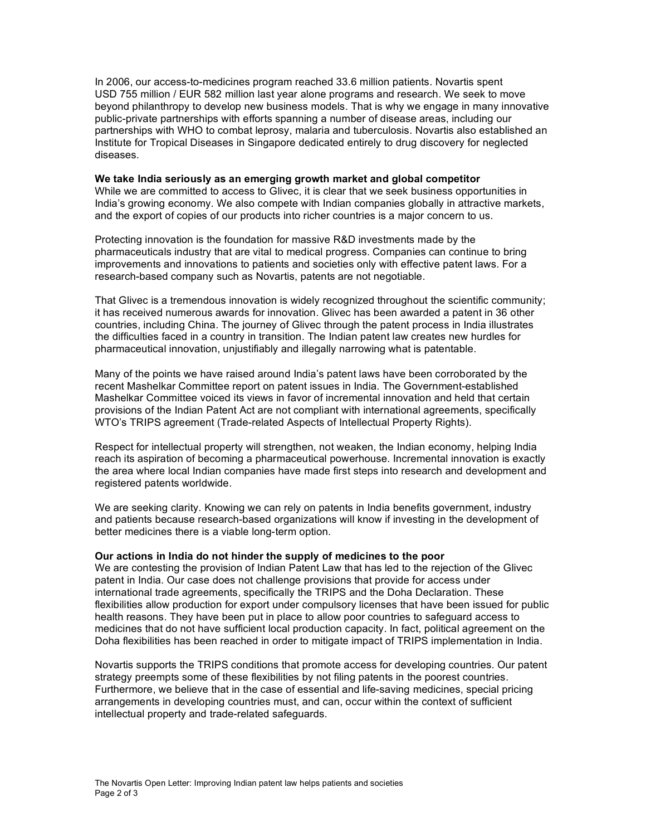In 2006, our access-to-medicines program reached 33.6 million patients. Novartis spent USD 755 million / EUR 582 million last year alone programs and research. We seek to move beyond philanthropy to develop new business models. That is why we engage in many innovative public-private partnerships with efforts spanning a number of disease areas, including our partnerships with WHO to combat leprosy, malaria and tuberculosis. Novartis also established an Institute for Tropical Diseases in Singapore dedicated entirely to drug discovery for neglected diseases.

## **We take India seriously as an emerging growth market and global competitor**

While we are committed to access to Glivec, it is clear that we seek business opportunities in India's growing economy. We also compete with Indian companies globally in attractive markets, and the export of copies of our products into richer countries is a major concern to us.

Protecting innovation is the foundation for massive R&D investments made by the pharmaceuticals industry that are vital to medical progress. Companies can continue to bring improvements and innovations to patients and societies only with effective patent laws. For a research-based company such as Novartis, patents are not negotiable.

That Glivec is a tremendous innovation is widely recognized throughout the scientific community; it has received numerous awards for innovation. Glivec has been awarded a patent in 36 other countries, including China. The journey of Glivec through the patent process in India illustrates the difficulties faced in a country in transition. The Indian patent law creates new hurdles for pharmaceutical innovation, unjustifiably and illegally narrowing what is patentable.

Many of the points we have raised around India's patent laws have been corroborated by the recent Mashelkar Committee report on patent issues in India. The Government-established Mashelkar Committee voiced its views in favor of incremental innovation and held that certain provisions of the Indian Patent Act are not compliant with international agreements, specifically WTO's TRIPS agreement (Trade-related Aspects of Intellectual Property Rights).

Respect for intellectual property will strengthen, not weaken, the Indian economy, helping India reach its aspiration of becoming a pharmaceutical powerhouse. Incremental innovation is exactly the area where local Indian companies have made first steps into research and development and registered patents worldwide.

We are seeking clarity. Knowing we can rely on patents in India benefits government, industry and patients because research-based organizations will know if investing in the development of better medicines there is a viable long-term option.

## **Our actions in India do not hinder the supply of medicines to the poor**

We are contesting the provision of Indian Patent Law that has led to the rejection of the Glivec patent in India. Our case does not challenge provisions that provide for access under international trade agreements, specifically the TRIPS and the Doha Declaration. These flexibilities allow production for export under compulsory licenses that have been issued for public health reasons. They have been put in place to allow poor countries to safeguard access to medicines that do not have sufficient local production capacity. In fact, political agreement on the Doha flexibilities has been reached in order to mitigate impact of TRIPS implementation in India.

Novartis supports the TRIPS conditions that promote access for developing countries. Our patent strategy preempts some of these flexibilities by not filing patents in the poorest countries. Furthermore, we believe that in the case of essential and life-saving medicines, special pricing arrangements in developing countries must, and can, occur within the context of sufficient intellectual property and trade-related safeguards.